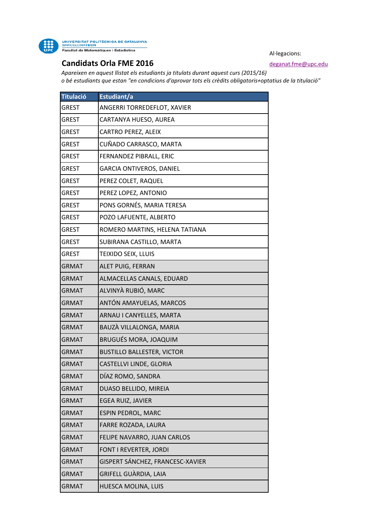

UNIVERSITAT POLITÈCNICA DE CATALUNYA<br>BARCELONATECH<br>Facultat de Matemàtiques i Estadística

Al·legacions:

## **Candidats Orla FME 2016 Candidats Orla FME 2016**

*Apareixen en aquest llistat els estudiants ja titulats durant aquest curs (2015/16) o bé estudiants que estan "en condicions d'aprovar tots els crèdits obligatoris+optatius de la titulació"* 

| <b>Titulació</b> | Estudiant/a                       |
|------------------|-----------------------------------|
| <b>GREST</b>     | ANGERRI TORREDEFLOT, XAVIER       |
| GREST            | CARTANYA HUESO, AUREA             |
| <b>GREST</b>     | <b>CARTRO PEREZ, ALEIX</b>        |
| <b>GREST</b>     | CUÑADO CARRASCO, MARTA            |
| GREST            | FERNANDEZ PIBRALL, ERIC           |
| GREST            | <b>GARCIA ONTIVEROS, DANIEL</b>   |
| GREST            | PEREZ COLET, RAQUEL               |
| GREST            | PEREZ LOPEZ, ANTONIO              |
| GREST            | PONS GORNÉS, MARIA TERESA         |
| GREST            | POZO LAFUENTE, ALBERTO            |
| <b>GREST</b>     | ROMERO MARTINS, HELENA TATIANA    |
| <b>GREST</b>     | SUBIRANA CASTILLO, MARTA          |
| GREST            | <b>TEIXIDO SEIX, LLUIS</b>        |
| <b>GRMAT</b>     | <b>ALET PUIG, FERRAN</b>          |
| <b>GRMAT</b>     | ALMACELLAS CANALS, EDUARD         |
| <b>GRMAT</b>     | ALVINYÀ RUBIÓ, MARC               |
| <b>GRMAT</b>     | ANTÓN AMAYUELAS, MARCOS           |
| <b>GRMAT</b>     | ARNAU I CANYELLES, MARTA          |
| <b>GRMAT</b>     | BAUZÀ VILLALONGA, MARIA           |
| <b>GRMAT</b>     | <b>BRUGUÉS MORA, JOAQUIM</b>      |
| <b>GRMAT</b>     | <b>BUSTILLO BALLESTER, VICTOR</b> |
| <b>GRMAT</b>     | CASTELLVI LINDE, GLORIA           |
| <b>GRMAT</b>     | DÍAZ ROMO, SANDRA                 |
| <b>GRMAT</b>     | DUASO BELLIDO, MIREIA             |
| <b>GRMAT</b>     | EGEA RUIZ, JAVIER                 |
| <b>GRMAT</b>     | <b>ESPIN PEDROL, MARC</b>         |
| <b>GRMAT</b>     | FARRE ROZADA, LAURA               |
| <b>GRMAT</b>     | FELIPE NAVARRO, JUAN CARLOS       |
| <b>GRMAT</b>     | FONT I REVERTER, JORDI            |
| <b>GRMAT</b>     | GISPERT SÁNCHEZ, FRANCESC-XAVIER  |
| <b>GRMAT</b>     | GRIFELL GUÀRDIA, LAIA             |
| <b>GRMAT</b>     | HUESCA MOLINA, LUIS               |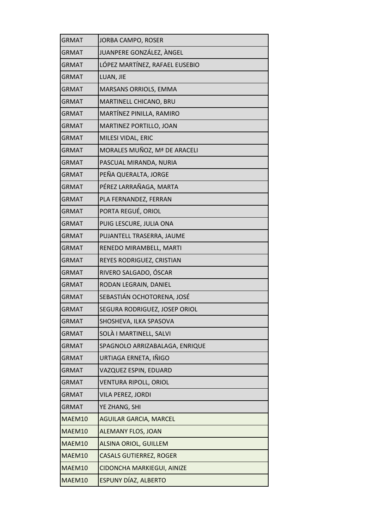| <b>GRMAT</b> | JORBA CAMPO, ROSER             |
|--------------|--------------------------------|
| <b>GRMAT</b> | JUANPERE GONZÁLEZ, ÀNGEL       |
| <b>GRMAT</b> | LÓPEZ MARTÍNEZ, RAFAEL EUSEBIO |
| <b>GRMAT</b> | LUAN, JIE                      |
| <b>GRMAT</b> | MARSANS ORRIOLS, EMMA          |
| <b>GRMAT</b> | MARTINELL CHICANO, BRU         |
| <b>GRMAT</b> | MARTÍNEZ PINILLA, RAMIRO       |
| <b>GRMAT</b> | MARTINEZ PORTILLO, JOAN        |
| <b>GRMAT</b> | MILESI VIDAL, ERIC             |
| <b>GRMAT</b> | MORALES MUÑOZ, Mª DE ARACELI   |
| <b>GRMAT</b> | PASCUAL MIRANDA, NURIA         |
| <b>GRMAT</b> | PEÑA QUERALTA, JORGE           |
| <b>GRMAT</b> | PÉREZ LARRAÑAGA, MARTA         |
| <b>GRMAT</b> | PLA FERNANDEZ, FERRAN          |
| <b>GRMAT</b> | PORTA REGUÉ, ORIOL             |
| <b>GRMAT</b> | PUIG LESCURE, JULIA ONA        |
| <b>GRMAT</b> | PUJANTELL TRASERRA, JAUME      |
| <b>GRMAT</b> | RENEDO MIRAMBELL, MARTI        |
| <b>GRMAT</b> | REYES RODRIGUEZ, CRISTIAN      |
| <b>GRMAT</b> | RIVERO SALGADO, ÓSCAR          |
| <b>GRMAT</b> | RODAN LEGRAIN, DANIEL          |
| <b>GRMAT</b> | SEBASTIÁN OCHOTORENA, JOSÉ     |
| <b>GRMAT</b> | SEGURA RODRIGUEZ, JOSEP ORIOL  |
| <b>GRMAT</b> | SHOSHEVA, ILKA SPASOVA         |
| <b>GRMAT</b> | SOLÀ I MARTINELL, SALVI        |
| <b>GRMAT</b> | SPAGNOLO ARRIZABALAGA, ENRIQUE |
| <b>GRMAT</b> | URTIAGA ERNETA, IÑIGO          |
| <b>GRMAT</b> | VAZQUEZ ESPIN, EDUARD          |
| <b>GRMAT</b> | VENTURA RIPOLL, ORIOL          |
| <b>GRMAT</b> | VILA PEREZ, JORDI              |
| <b>GRMAT</b> | YE ZHANG, SHI                  |
| MAEM10       | <b>AGUILAR GARCIA, MARCEL</b>  |
| MAEM10       | <b>ALEMANY FLOS, JOAN</b>      |
| MAEM10       | <b>ALSINA ORIOL, GUILLEM</b>   |
| MAEM10       | <b>CASALS GUTIERREZ, ROGER</b> |
| MAEM10       | CIDONCHA MARKIEGUI, AINIZE     |
| MAEM10       | ESPUNY DÍAZ, ALBERTO           |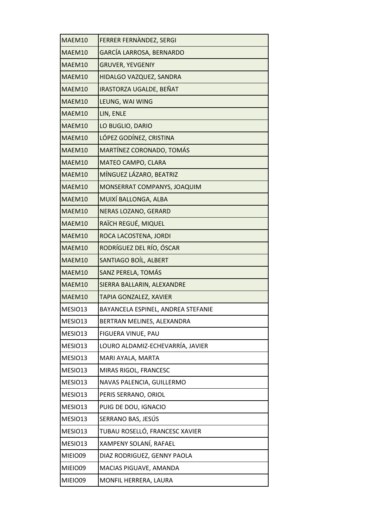| MAEM10  | FERRER FERNANDEZ, SERGI            |
|---------|------------------------------------|
| MAEM10  | GARCÍA LARROSA, BERNARDO           |
| MAEM10  | <b>GRUVER, YEVGENIY</b>            |
| MAEM10  | HIDALGO VAZQUEZ, SANDRA            |
| MAEM10  | IRASTORZA UGALDE, BEÑAT            |
| MAEM10  | LEUNG, WAI WING                    |
| MAEM10  | LIN, ENLE                          |
| MAEM10  | LO BUGLIO, DARIO                   |
| MAEM10  | LÓPEZ GODÍNEZ, CRISTINA            |
| MAEM10  | MARTÍNEZ CORONADO, TOMÁS           |
| MAEM10  | MATEO CAMPO, CLARA                 |
| MAEM10  | MÍNGUEZ LÁZARO, BEATRIZ            |
| MAEM10  | MONSERRAT COMPANYS, JOAQUIM        |
| MAEM10  | MUIXÍ BALLONGA, ALBA               |
| MAEM10  | NERAS LOZANO, GERARD               |
| MAEM10  | RAÏCH REGUÉ, MIQUEL                |
| MAEM10  | ROCA LACOSTENA, JORDI              |
| MAEM10  | RODRÍGUEZ DEL RÍO, ÓSCAR           |
| MAEM10  | SANTIAGO BOÍL, ALBERT              |
| MAEM10  | SANZ PERELA, TOMÁS                 |
| MAEM10  | SIERRA BALLARIN, ALEXANDRE         |
| MAEM10  | TAPIA GONZALEZ, XAVIER             |
| MESIO13 | BAYANCELA ESPINEL, ANDREA STEFANIE |
| MESIO13 | BERTRAN MELINES, ALEXANDRA         |
| MESIO13 | FIGUERA VINUE, PAU                 |
| MESIO13 | LOURO ALDAMIZ-ECHEVARRÍA, JAVIER   |
| MESIO13 | MARI AYALA, MARTA                  |
| MESIO13 | MIRAS RIGOL, FRANCESC              |
| MESIO13 | NAVAS PALENCIA, GUILLERMO          |
| MESIO13 | PERIS SERRANO, ORIOL               |
| MESIO13 | PUIG DE DOU, IGNACIO               |
| MESIO13 | SERRANO BAS, JESÚS                 |
| MESIO13 | TUBAU ROSELLÓ, FRANCESC XAVIER     |
| MESIO13 | XAMPENY SOLANÍ, RAFAEL             |
| MIEIO09 | DIAZ RODRIGUEZ, GENNY PAOLA        |
| MIEIO09 | MACIAS PIGUAVE, AMANDA             |
| MIEIO09 | MONFIL HERRERA, LAURA              |